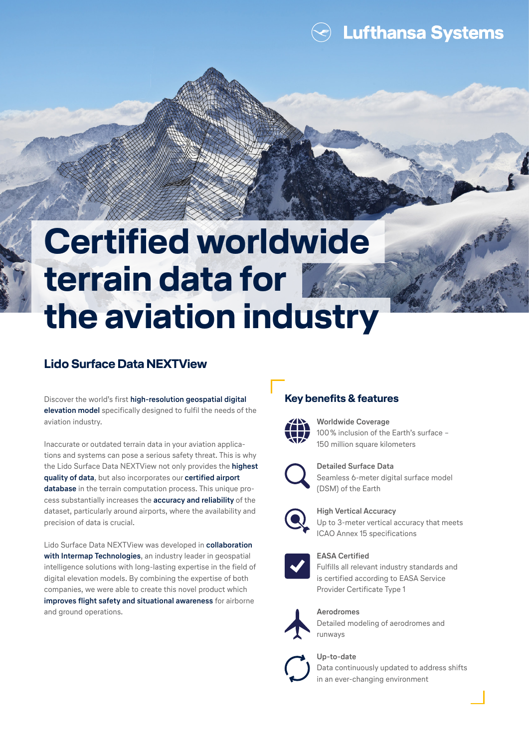**Lufthansa Systems** 

# **Certified worldwide terrain data for the aviation industry**

## **Lido Surface Data NEXTView**

Discover the world's first **high-resolution geospatial digital elevation model** specifically designed to fulfil the needs of the aviation industry.

Inaccurate or outdated terrain data in your aviation applications and systems can pose a serious safety threat. This is why the Lido Surface Data NEXTView not only provides the **highest quality of data**, but also incorporates our **certified airport database** in the terrain computation process. This unique process substantially increases the **accuracy and reliability** of the dataset, particularly around airports, where the availability and precision of data is crucial.

Lido Surface Data NEXTView was developed in **collaboration with Intermap Technologies**, an industry leader in geospatial intelligence solutions with long-lasting expertise in the field of digital elevation models. By combining the expertise of both companies, we were able to create this novel product which **improves flight safety and situational awareness** for airborne and ground operations.

## **Key benefits & features**



**Worldwide Coverage** 100% inclusion of the Earth's surface – 150 million square kilometers



**Detailed Surface Data** Seamless 6-meter digital surface model (DSM) of the Earth



**High Vertical Accuracy** Up to 3-meter vertical accuracy that meets ICAO Annex 15 specifications



#### **EASA Certified**

Fulfills all relevant industry standards and is certified according to EASA Service Provider Certificate Type 1



#### **Aerodromes**

Detailed modeling of aerodromes and runways

#### **Up-to-date**



Data continuously updated to address shifts in an ever-changing environment